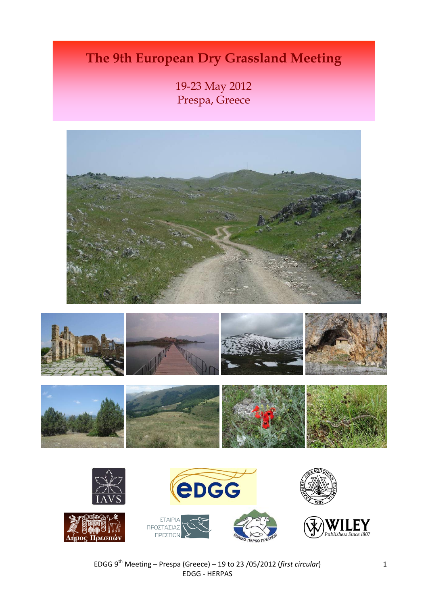# **The 9th European Dry Grassland Meeting**

19-23 May 2012 Prespa, Greece











EDGG 9th Meeting – Prespa (Greece) – 19 to 23 /05/2012 (*first circular*) EDGG ‐ HERPAS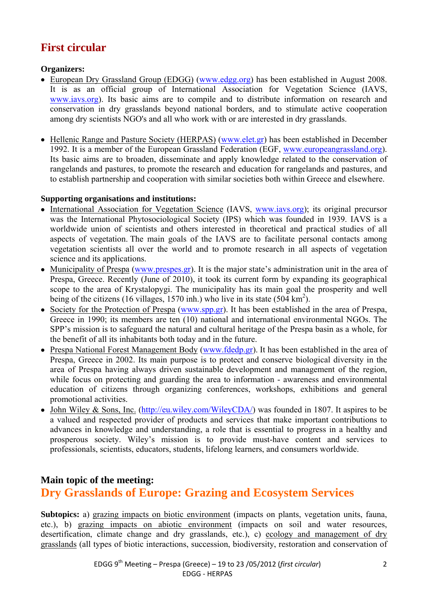# **First circular**

**Organizers:** 

- European Dry Grassland Group (EDGG) (www.edgg.org) has been established in August 2008. It is as an official group of International Association for Vegetation Science (IAVS, www.iavs.org). Its basic aims are to compile and to distribute information on research and conservation in dry grasslands beyond national borders, and to stimulate active cooperation among dry scientists NGO's and all who work with or are interested in dry grasslands.
- Hellenic Range and Pasture Society (HERPAS) (www.elet.gr) has been established in December 1992. It is a member of the European Grassland Federation (EGF, www.europeangrassland.org). Its basic aims are to broaden, disseminate and apply knowledge related to the conservation of rangelands and pastures, to promote the research and education for rangelands and pastures, and to establish partnership and cooperation with similar societies both within Greece and elsewhere.

# **Supporting organisations and institutions:**

- International Association for Vegetation Science (IAVS, www.jays.org); its original precursor was the International Phytosociological Society (IPS) which was founded in 1939. IAVS is a worldwide union of scientists and others interested in theoretical and practical studies of all aspects of vegetation. The main goals of the IAVS are to facilitate personal contacts among vegetation scientists all over the world and to promote research in all aspects of vegetation science and its applications.
- Municipality of Prespa (www.prespes.gr). It is the major state's administration unit in the area of Prespa, Greece. Recently (June of 2010), it took its current form by expanding its geographical scope to the area of Krystalopygi. The municipality has its main goal the prosperity and well being of the citizens (16 villages, 1570 inh.) who live in its state (504 km<sup>2</sup>).
- Society for the Protection of Prespa (www.spp.gr). It has been established in the area of Prespa, Greece in 1990; its members are ten (10) national and international environmental NGOs. The SPP's mission is to safeguard the natural and cultural heritage of the Prespa basin as a whole, for the benefit of all its inhabitants both today and in the future.
- Prespa National Forest Management Body (www.fdedp.gr). It has been established in the area of Prespa, Greece in 2002. Its main purpose is to protect and conserve biological diversity in the area of Prespa having always driven sustainable development and management of the region, while focus on protecting and guarding the area to information - awareness and environmental education of citizens through organizing conferences, workshops, exhibitions and general promotional activities.
- John Wiley & Sons, Inc. (http://eu.wiley.com/WileyCDA/) was founded in 1807. It aspires to be a valued and respected provider of products and services that make important contributions to advances in knowledge and understanding, a role that is essential to progress in a healthy and prosperous society. Wiley's mission is to provide must-have content and services to professionals, scientists, educators, students, lifelong learners, and consumers worldwide.

# **Main topic of the meeting: Dry Grasslands of Europe: Grazing and Ecosystem Services**

**Subtopics:** a) grazing impacts on biotic environment (impacts on plants, vegetation units, fauna, etc.), b) grazing impacts on abiotic environment (impacts on soil and water resources, desertification, climate change and dry grasslands, etc.), c) ecology and management of dry grasslands (all types of biotic interactions, succession, biodiversity, restoration and conservation of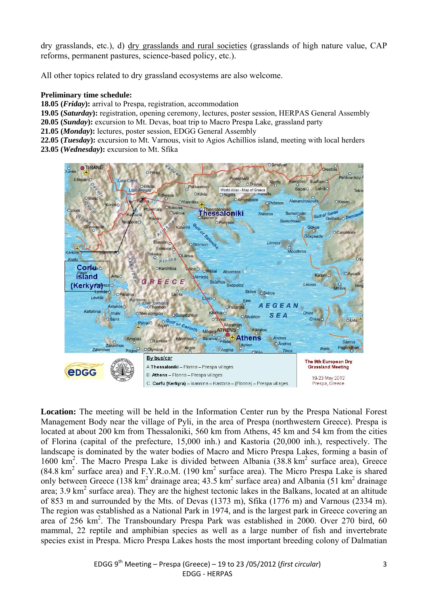dry grasslands, etc.), d) dry grasslands and rural societies (grasslands of high nature value, CAP reforms, permanent pastures, science-based policy, etc.).

All other topics related to dry grassland ecosystems are also welcome.

#### **Preliminary time schedule:**

**18.05 (***Friday***):** arrival to Prespa, registration, accommodation

**19.05 (***Saturday***):** registration, opening ceremony, lectures, poster session, HERPAS General Assembly

**20.05 (***Sunday***):** excursion to Mt. Devas, boat trip to Macro Prespa Lake, grassland party

**21.05 (***Monday***):** lectures, poster session, EDGG General Assembly

**22.05 (***Tuesday***):** excursion to Mt. Varnous, visit to Agios Achillios island, meeting with local herders **23.05 (***Wednesday***):** excursion to Mt. Sfika



**Location:** The meeting will be held in the Information Center run by the Prespa National Forest Management Body near the village of Pyli, in the area of Prespa (northwestern Greece). Prespa is located at about 200 km from Thessaloniki, 560 km from Athens, 45 km and 54 km from the cities of Florina (capital of the prefecture, 15,000 inh.) and Kastoria (20,000 inh.), respectively. The landscape is dominated by the water bodies of Macro and Micro Prespa Lakes, forming a basin of 1600 km<sup>2</sup>. The Macro Prespa Lake is divided between Albania (38.8 km<sup>2</sup> surface area), Greece  $(84.8 \text{ km}^2 \text{ surface area})$  and F.Y.R.o.M.  $(190 \text{ km}^2 \text{ surface area})$ . The Micro Prespa Lake is shared only between Greece (138 km<sup>2</sup> drainage area; 43.5 km<sup>2</sup> surface area) and Albania (51 km<sup>2</sup> drainage area; 3.9 km<sup>2</sup> surface area). They are the highest tectonic lakes in the Balkans, located at an altitude of 853 m and surrounded by the Mts. of Devas (1373 m), Sfika (1776 m) and Varnous (2334 m). The region was established as a National Park in 1974, and is the largest park in Greece covering an area of 256 km<sup>2</sup>. The Transboundary Prespa Park was established in 2000. Over 270 bird, 60 mammal, 22 reptile and amphibian species as well as a large number of fish and invertebrate species exist in Prespa. Micro Prespa Lakes hosts the most important breeding colony of Dalmatian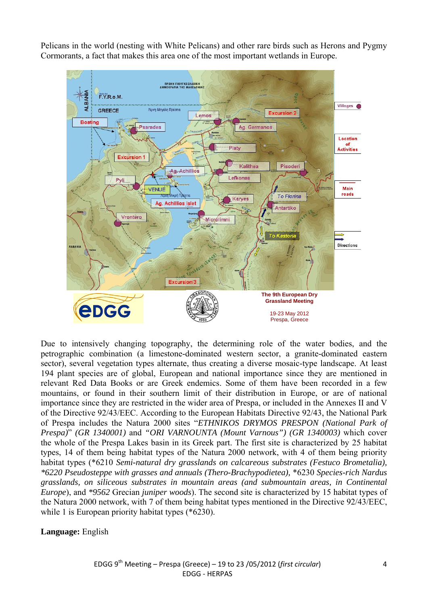Pelicans in the world (nesting with White Pelicans) and other rare birds such as Herons and Pygmy Cormorants, a fact that makes this area one of the most important wetlands in Europe.



Due to intensively changing topography, the determining role of the water bodies, and the petrographic combination (a limestone-dominated western sector, a granite-dominated eastern sector), several vegetation types alternate, thus creating a diverse mosaic-type landscape. At least 194 plant species are of global, European and national importance since they are mentioned in relevant Red Data Books or are Greek endemics. Some of them have been recorded in a few mountains, or found in their southern limit of their distribution in Europe, or are of national importance since they are restricted in the wider area of Prespa, or included in the Annexes ΙΙ and V of the Directive 92/43/ΕEC. According to the European Habitats Directive 92/43, the National Park of Prespa includes the Natura 2000 sites "*ETHNIKOS DRYMOS PRESPON (National Park of Prespa)*" *(GR 1340001)* and *"ORI VARNOUNTA (Mount Varnous") (GR 1340003)* which cover the whole of the Prespa Lakes basin in its Greek part. The first site is characterized by 25 habitat types, 14 of them being habitat types of the Natura 2000 network, with 4 of them being priority habitat types (\*6210 *Semi-natural dry grasslands on calcareous substrates (Festuco Brometalia), \*6220 Pseudosteppe with grasses and annuals (Thero-Brachypodietea),* \*6230 *Species-rich Nardus grasslands, on siliceous substrates in mountain areas (and submountain areas, in Continental Europe*), and *\*9562* Grecian *juniper woods*). The second site is characterized by 15 habitat types of the Natura 2000 network, with 7 of them being habitat types mentioned in the Directive 92/43/EEC, while 1 is European priority habitat types (\*6230).

**Language:** English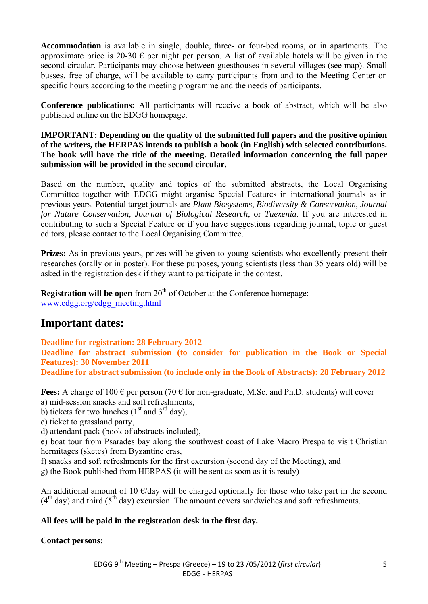**Accommodation** is available in single, double, three- or four-bed rooms, or in apartments. The approximate price is 20-30  $\epsilon$  per night per person. A list of available hotels will be given in the second circular. Participants may choose between guesthouses in several villages (see map). Small busses, free of charge, will be available to carry participants from and to the Meeting Center on specific hours according to the meeting programme and the needs of participants.

**Conference publications:** All participants will receive a book of abstract, which will be also published online on the EDGG homepage.

**IMPORTANT: Depending on the quality of the submitted full papers and the positive opinion of the writers, the HERPAS intends to publish a book (in English) with selected contributions. The book will have the title of the meeting. Detailed information concerning the full paper submission will be provided in the second circular.** 

Based on the number, quality and topics of the submitted abstracts, the Local Organising Committee together with EDGG might organise Special Features in international journals as in previous years. Potential target journals are *Plant Biosystems*, *Biodiversity & Conservation*, *Journal for Nature Conservation*, *Journal of Biological Research*, or *Tuexenia*. If you are interested in contributing to such a Special Feature or if you have suggestions regarding journal, topic or guest editors, please contact to the Local Organising Committee.

**Prizes:** As in previous years, prizes will be given to young scientists who excellently present their researches (orally or in poster). For these purposes, young scientists (less than 35 years old) will be asked in the registration desk if they want to participate in the contest.

**Registration will be open** from  $20<sup>th</sup>$  of October at the Conference homepage: www.edgg.org/edgg\_meeting.html

# **Important dates:**

**Deadline for registration: 28 February 2012** 

**Deadline for abstract submission (to consider for publication in the Book or Special Features): 30 November 2011** 

**Deadline for abstract submission (to include only in the Book of Abstracts): 28 February 2012** 

**Fees:** A charge of  $100 \in \text{per person}$  (70  $\in$  for non-graduate, M.Sc. and Ph.D. students) will cover a) mid-session snacks and soft refreshments,

b) tickets for two lunches ( $1<sup>st</sup>$  and  $3<sup>rd</sup>$  day),

c) ticket to grassland party,

d) attendant pack (book of abstracts included),

e) boat tour from Psarades bay along the southwest coast of Lake Macro Prespa to visit Christian hermitages (sketes) from Byzantine eras,

- f) snacks and soft refreshments for the first excursion (second day of the Meeting), and
- g) the Book published from HERPAS (it will be sent as soon as it is ready)

An additional amount of 10  $\epsilon$ /day will be charged optionally for those who take part in the second  $(4<sup>th</sup>$  day) and third  $(5<sup>th</sup>$  day) excursion. The amount covers sandwiches and soft refreshments.

## **All fees will be paid in the registration desk in the first day.**

## **Contact persons:**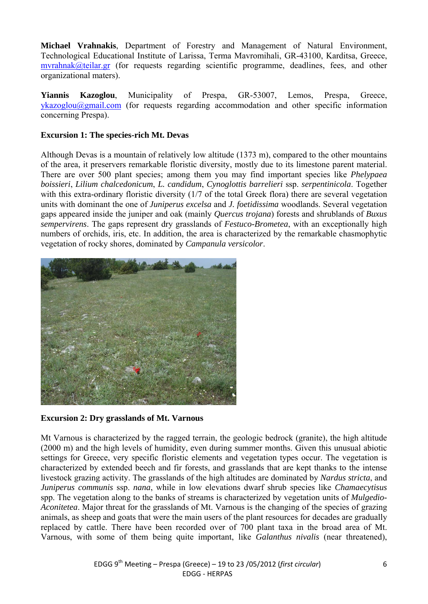**Michael Vrahnakis**, Department of Forestry and Management of Natural Environment, Technological Educational Institute of Larissa, Terma Mavromihali, GR-43100, Karditsa, Greece, mvrahnak@teilar.gr (for requests regarding scientific programme, deadlines, fees, and other organizational maters).

**Yiannis Kazoglou**, Municipality of Prespa, GR-53007, Lemos, Prespa, Greece, ykazoglou@gmail.com (for requests regarding accommodation and other specific information concerning Prespa).

### **Excursion 1: The species-rich Mt. Devas**

Although Devas is a mountain of relatively low altitude (1373 m), compared to the other mountains of the area, it preservers remarkable floristic diversity, mostly due to its limestone parent material. There are over 500 plant species; among them you may find important species like *Phelypaea boissieri*, *Lilium chalcedonicum*, *L. candidum*, *Cynoglottis barrelieri* ssp. *serpentinicola*. Together with this extra-ordinary floristic diversity (1/7 of the total Greek flora) there are several vegetation units with dominant the one of *Juniperus excelsa* and *J. foetidissima* woodlands. Several vegetation gaps appeared inside the juniper and oak (mainly *Quercus trojana*) forests and shrublands of *Buxus sempervirens*. The gaps represent dry grasslands of *Festuco-Brometea*, with an exceptionally high numbers of orchids, iris, etc. In addition, the area is characterized by the remarkable chasmophytic vegetation of rocky shores, dominated by *Campanula versicolor*.



**Excursion 2: Dry grasslands of Mt. Varnous** 

Mt Varnous is characterized by the ragged terrain, the geologic bedrock (granite), the high altitude (2000 m) and the high levels of humidity, even during summer months. Given this unusual abiotic settings for Greece, very specific floristic elements and vegetation types occur. The vegetation is characterized by extended beech and fir forests, and grasslands that are kept thanks to the intense livestock grazing activity. The grasslands of the high altitudes are dominated by *Nardus stricta*, and *Juniperus communis* ssp. *nana*, while in low elevations dwarf shrub species like *Chamaecytisus*  spp. The vegetation along to the banks of streams is characterized by vegetation units of *Mulgedio-Aconitetea*. Major threat for the grasslands of Mt. Varnous is the changing of the species of grazing animals, as sheep and goats that were the main users of the plant resources for decades are gradually replaced by cattle. There have been recorded over of 700 plant taxa in the broad area of Mt. Varnous, with some of them being quite important, like *Galanthus nivalis* (near threatened),